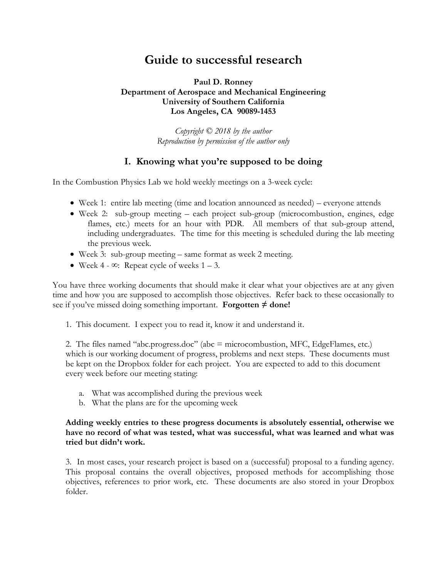# **Guide to successful research**

#### **Paul D. Ronney Department of Aerospace and Mechanical Engineering University of Southern California Los Angeles, CA 90089-1453**

*Copyright © 2018 by the author Reproduction by permission of the author only*

# **I. Knowing what you're supposed to be doing**

In the Combustion Physics Lab we hold weekly meetings on a 3-week cycle:

- Week 1: entire lab meeting (time and location announced as needed) everyone attends
- Week 2: sub-group meeting each project sub-group (microcombustion, engines, edge flames, etc.) meets for an hour with PDR. All members of that sub-group attend, including undergraduates. The time for this meeting is scheduled during the lab meeting the previous week.
- Week 3: sub-group meeting same format as week 2 meeting.
- Week 4  $\infty$ : Repeat cycle of weeks 1 3.

You have three working documents that should make it clear what your objectives are at any given time and how you are supposed to accomplish those objectives. Refer back to these occasionally to see if you've missed doing something important. **Forgotten**  $\neq$  **done!** 

1. This document. I expect you to read it, know it and understand it.

2. The files named "abc.progress.doc" (abc = microcombustion, MFC, EdgeFlames, etc.) which is our working document of progress, problems and next steps. These documents must be kept on the Dropbox folder for each project. You are expected to add to this document every week before our meeting stating:

- a. What was accomplished during the previous week
- b. What the plans are for the upcoming week

#### **Adding weekly entries to these progress documents is absolutely essential, otherwise we have no record of what was tested, what was successful, what was learned and what was tried but didn't work.**

3. In most cases, your research project is based on a (successful) proposal to a funding agency. This proposal contains the overall objectives, proposed methods for accomplishing those objectives, references to prior work, etc. These documents are also stored in your Dropbox folder.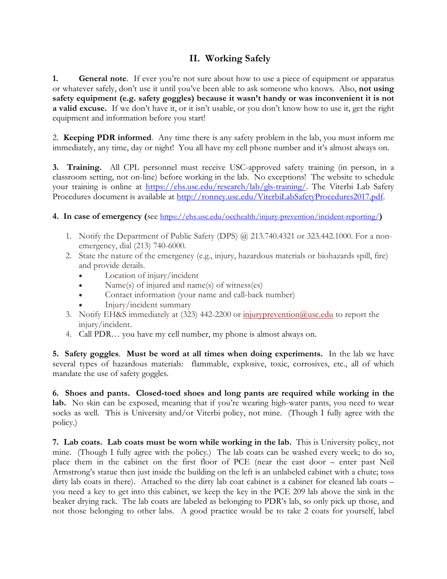# **II. Working Safely**

**1. General note**. If ever you're not sure about how to use a piece of equipment or apparatus or whatever safely, don't use it until you've been able to ask someone who knows. Also, **not using safety equipment (e.g. safety goggles) because it wasn't handy or was inconvenient it is not a valid excuse.** If we don't have it, or it isn't usable, or you don't know how to use it, get the right equipment and information before you start!

2. **Keeping PDR informed**. Any time there is any safety problem in the lab, you must inform me immediately, any time, day or night! You all have my cell phone number and it's almost always on.

**3. Training.** All CPL personnel must receive USC-approved safety training (in person, in a classroom setting, not on-line) before working in the lab. No exceptions! The website to schedule your training is online at https://ehs.usc.edu/research/lab/gls-training/. The Viterbi Lab Safety Procedures document is available at http://ronney.usc.edu/ViterbiLabSafetyProcedures2017.pdf.

### **4. In case of emergency (**see https://ehs.usc.edu/occhealth/injury-prevention/incident-reporting/**)**

- 1. Notify the Department of Public Safety (DPS) @ 213.740.4321 or 323.442.1000. For a nonemergency, dial (213) 740-6000.
- 2. State the nature of the emergency (e.g., injury, hazardous materials or biohazards spill, fire) and provide details.
	- Location of injury/incident
	- Name(s) of injured and name(s) of witness(es)
	- Contact information (your name and call-back number)
	- Injury/incident summary
- 3. Notify EH&S immediately at (323) 442-2200 or injuryprevention@usc.edu to report the injury/incident.
- 4. Call PDR… you have my cell number, my phone is almost always on.

**5. Safety goggles**. **Must be word at all times when doing experiments.** In the lab we have several types of hazardous materials: flammable, explosive, toxic, corrosives, etc., all of which mandate the use of safety goggles.

**6. Shoes and pants. Closed-toed shoes and long pants are required while working in the**  lab. No skin can be exposed, meaning that if you're wearing high-water pants, you need to wear socks as well.This is University and/or Viterbi policy, not mine. (Though I fully agree with the policy.)

**7. Lab coats. Lab coats must be worn while working in the lab.** This is University policy, not mine. (Though I fully agree with the policy.) The lab coats can be washed every week; to do so, place them in the cabinet on the first floor of PCE (near the east door – enter past Neil Armstrong's statue then just inside the building on the left is an unlabeled cabinet with a chute; toss dirty lab coats in there). Attached to the dirty lab coat cabinet is a cabinet for cleaned lab coats – you need a key to get into this cabinet, we keep the key in the PCE 209 lab above the sink in the beaker drying rack. The lab coats are labeled as belonging to PDR's lab, so only pick up those, and not those belonging to other labs. A good practice would be to take 2 coats for yourself, label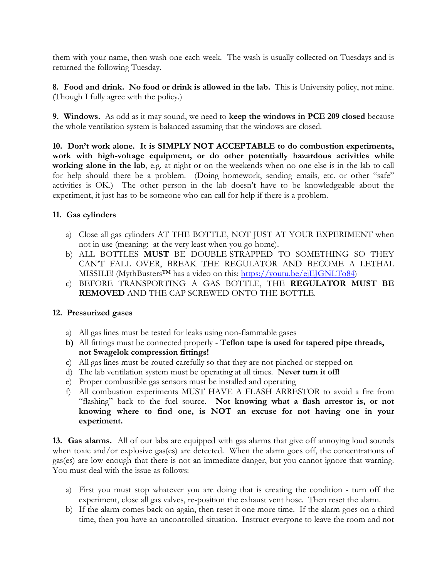them with your name, then wash one each week. The wash is usually collected on Tuesdays and is returned the following Tuesday.

**8. Food and drink. No food or drink is allowed in the lab.** This is University policy, not mine. (Though I fully agree with the policy.)

**9. Windows.** As odd as it may sound, we need to **keep the windows in PCE 209 closed** because the whole ventilation system is balanced assuming that the windows are closed.

**10. Don't work alone. It is SIMPLY NOT ACCEPTABLE to do combustion experiments, work with high-voltage equipment, or do other potentially hazardous activities while working alone in the lab**, e.g. at night or on the weekends when no one else is in the lab to call for help should there be a problem. (Doing homework, sending emails, etc. or other "safe" activities is OK.) The other person in the lab doesn't have to be knowledgeable about the experiment, it just has to be someone who can call for help if there is a problem.

#### **11. Gas cylinders**

- a) Close all gas cylinders AT THE BOTTLE, NOT JUST AT YOUR EXPERIMENT when not in use (meaning: at the very least when you go home).
- b) ALL BOTTLES **MUST** BE DOUBLE-STRAPPED TO SOMETHING SO THEY CAN'T FALL OVER, BREAK THE REGULATOR AND BECOME A LETHAL MISSILE! (MythBusters<sup>™</sup> has a video on this: https://youtu.be/ejEJGNLTo84)
- c) BEFORE TRANSPORTING A GAS BOTTLE, THE **REGULATOR MUST BE REMOVED** AND THE CAP SCREWED ONTO THE BOTTLE.

#### **12. Pressurized gases**

- a) All gas lines must be tested for leaks using non-flammable gases
- **b)** All fittings must be connected properly **Teflon tape is used for tapered pipe threads, not Swagelok compression fittings!**
- c) All gas lines must be routed carefully so that they are not pinched or stepped on
- d) The lab ventilation system must be operating at all times. **Never turn it off!**
- e) Proper combustible gas sensors must be installed and operating
- f) All combustion experiments MUST HAVE A FLASH ARRESTOR to avoid a fire from "flashing" back to the fuel source. **Not knowing what a flash arrestor is, or not knowing where to find one, is NOT an excuse for not having one in your experiment.**

**13. Gas alarms.** All of our labs are equipped with gas alarms that give off annoying loud sounds when toxic and/or explosive gas(es) are detected. When the alarm goes off, the concentrations of gas(es) are low enough that there is not an immediate danger, but you cannot ignore that warning. You must deal with the issue as follows:

- a) First you must stop whatever you are doing that is creating the condition turn off the experiment, close all gas valves, re-position the exhaust vent hose. Then reset the alarm.
- b) If the alarm comes back on again, then reset it one more time. If the alarm goes on a third time, then you have an uncontrolled situation. Instruct everyone to leave the room and not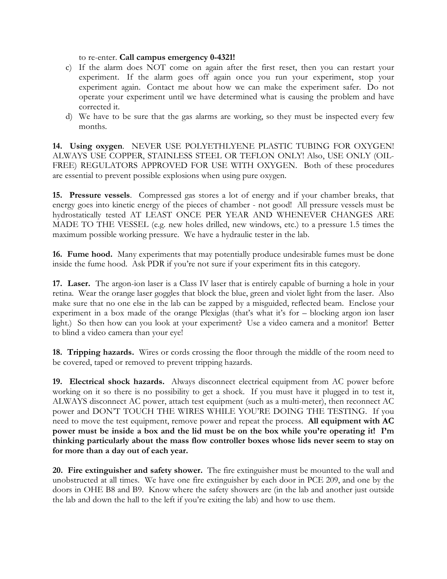to re-enter. **Call campus emergency 0-4321!**

- c) If the alarm does NOT come on again after the first reset, then you can restart your experiment. If the alarm goes off again once you run your experiment, stop your experiment again. Contact me about how we can make the experiment safer. Do not operate your experiment until we have determined what is causing the problem and have corrected it.
- d) We have to be sure that the gas alarms are working, so they must be inspected every few months.

**14. Using oxygen**. NEVER USE POLYETHLYENE PLASTIC TUBING FOR OXYGEN! ALWAYS USE COPPER, STAINLESS STEEL OR TEFLON ONLY! Also, USE ONLY (OIL-FREE) REGULATORS APPROVED FOR USE WITH OXYGEN. Both of these procedures are essential to prevent possible explosions when using pure oxygen.

**15. Pressure vessels**. Compressed gas stores a lot of energy and if your chamber breaks, that energy goes into kinetic energy of the pieces of chamber - not good! All pressure vessels must be hydrostatically tested AT LEAST ONCE PER YEAR AND WHENEVER CHANGES ARE MADE TO THE VESSEL (e.g. new holes drilled, new windows, etc.) to a pressure 1.5 times the maximum possible working pressure. We have a hydraulic tester in the lab.

**16. Fume hood.** Many experiments that may potentially produce undesirable fumes must be done inside the fume hood. Ask PDR if you're not sure if your experiment fits in this category.

**17. Laser.** The argon-ion laser is a Class IV laser that is entirely capable of burning a hole in your retina. Wear the orange laser goggles that block the blue, green and violet light from the laser. Also make sure that no one else in the lab can be zapped by a misguided, reflected beam. Enclose your experiment in a box made of the orange Plexiglas (that's what it's for – blocking argon ion laser light.) So then how can you look at your experiment? Use a video camera and a monitor! Better to blind a video camera than your eye!

**18. Tripping hazards.** Wires or cords crossing the floor through the middle of the room need to be covered, taped or removed to prevent tripping hazards.

**19. Electrical shock hazards.** Always disconnect electrical equipment from AC power before working on it so there is no possibility to get a shock. If you must have it plugged in to test it, ALWAYS disconnect AC power, attach test equipment (such as a multi-meter), then reconnect AC power and DON'T TOUCH THE WIRES WHILE YOU'RE DOING THE TESTING. If you need to move the test equipment, remove power and repeat the process. **All equipment with AC power must be inside a box and the lid must be on the box while you're operating it! I'm thinking particularly about the mass flow controller boxes whose lids never seem to stay on for more than a day out of each year.**

**20. Fire extinguisher and safety shower.** The fire extinguisher must be mounted to the wall and unobstructed at all times. We have one fire extinguisher by each door in PCE 209, and one by the doors in OHE B8 and B9. Know where the safety showers are (in the lab and another just outside the lab and down the hall to the left if you're exiting the lab) and how to use them.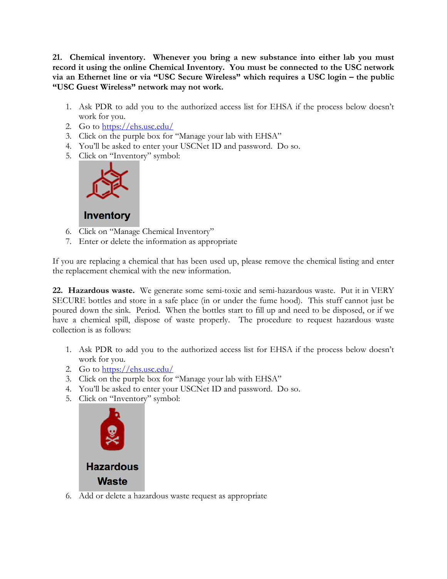**21. Chemical inventory. Whenever you bring a new substance into either lab you must record it using the online Chemical Inventory. You must be connected to the USC network via an Ethernet line or via "USC Secure Wireless" which requires a USC login – the public "USC Guest Wireless" network may not work.**

- 1. Ask PDR to add you to the authorized access list for EHSA if the process below doesn't work for you.
- 2. Go to https://ehs.usc.edu/
- 3. Click on the purple box for "Manage your lab with EHSA"
- 4. You'll be asked to enter your USCNet ID and password. Do so.
- 5. Click on "Inventory" symbol:



# **Inventory**

- 6. Click on "Manage Chemical Inventory"
- 7. Enter or delete the information as appropriate

If you are replacing a chemical that has been used up, please remove the chemical listing and enter the replacement chemical with the new information.

**22. Hazardous waste.** We generate some semi-toxic and semi-hazardous waste. Put it in VERY SECURE bottles and store in a safe place (in or under the fume hood). This stuff cannot just be poured down the sink. Period. When the bottles start to fill up and need to be disposed, or if we have a chemical spill, dispose of waste properly. The procedure to request hazardous waste collection is as follows:

- 1. Ask PDR to add you to the authorized access list for EHSA if the process below doesn't work for you.
- 2. Go to https://ehs.usc.edu/
- 3. Click on the purple box for "Manage your lab with EHSA"
- 4. You'll be asked to enter your USCNet ID and password. Do so.
- 5. Click on "Inventory" symbol:



6. Add or delete a hazardous waste request as appropriate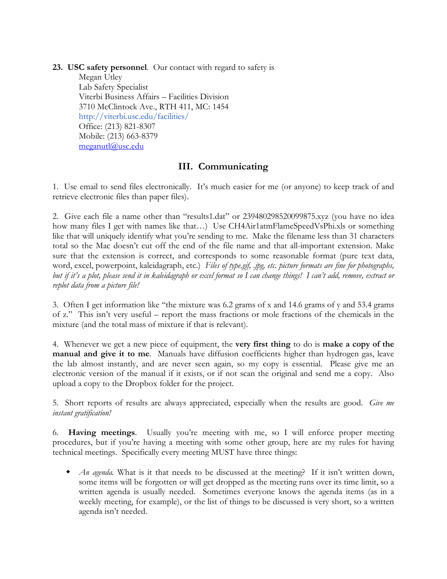**23. USC safety personnel**. Our contact with regard to safety is

Megan Utley Lab Safety Specialist Viterbi Business Affairs – Facilities Division 3710 McClintock Ave., RTH 411, MC: 1454 http://viterbi.usc.edu/facilities/ Office: (213) 821-8307 Mobile: (213) 663-8379 meganutl@usc.edu

# **III. Communicating**

1. Use email to send files electronically. It's much easier for me (or anyone) to keep track of and retrieve electronic files than paper files).

2. Give each file a name other than "results1.dat" or 239480298520099875.xyz (you have no idea how many files I get with names like that...) Use CH4Air1atmFlameSpeedVsPhi.xls or something like that will uniquely identify what you're sending to me. Make the filename less than 31 characters total so the Mac doesn't cut off the end of the file name and that all-important extension. Make sure that the extension is correct, and corresponds to some reasonable format (pure text data, word, excel, powerpoint, kaleidagraph, etc.) *Files of type.gif, .jpg, etc. picture formats are fine for photographs, but if it's a plot, please send it in kaleidagraph or excel format so I can change things! I can't add, remove, extract or replot data from a picture file!*

3. Often I get information like "the mixture was 6.2 grams of x and 14.6 grams of y and 53.4 grams of z." This isn't very useful – report the mass fractions or mole fractions of the chemicals in the mixture (and the total mass of mixture if that is relevant).

4. Whenever we get a new piece of equipment, the **very first thing** to do is **make a copy of the manual and give it to me**. Manuals have diffusion coefficients higher than hydrogen gas, leave the lab almost instantly, and are never seen again, so my copy is essential. Please give me an electronic version of the manual if it exists, or if not scan the original and send me a copy. Also upload a copy to the Dropbox folder for the project.

5. Short reports of results are always appreciated, especially when the results are good. *Give me instant gratification!*

6. **Having meetings**. Usually you're meeting with me, so I will enforce proper meeting procedures, but if you're having a meeting with some other group, here are my rules for having technical meetings. Specifically every meeting MUST have three things:

w *An agenda.* What is it that needs to be discussed at the meeting? If it isn't written down, some items will be forgotten or will get dropped as the meeting runs over its time limit, so a written agenda is usually needed. Sometimes everyone knows the agenda items (as in a weekly meeting, for example), or the list of things to be discussed is very short, so a written agenda isn't needed.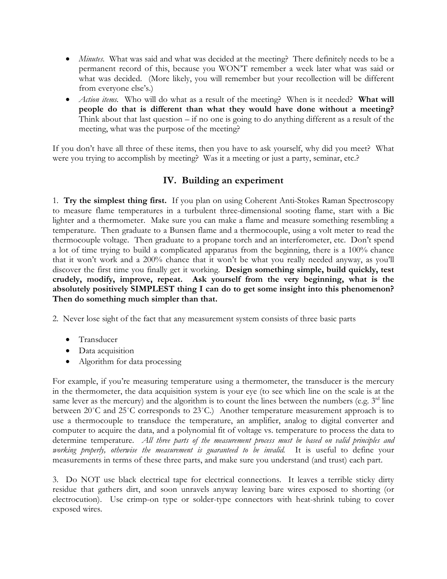- *Minutes*. What was said and what was decided at the meeting? There definitely needs to be a permanent record of this, because you WON'T remember a week later what was said or what was decided. (More likely, you will remember but your recollection will be different from everyone else's.)
- *Action items.* Who will do what as a result of the meeting? When is it needed? **What will people do that is different than what they would have done without a meeting?**  Think about that last question – if no one is going to do anything different as a result of the meeting, what was the purpose of the meeting?

If you don't have all three of these items, then you have to ask yourself, why did you meet? What were you trying to accomplish by meeting? Was it a meeting or just a party, seminar, etc.?

# **IV. Building an experiment**

1. **Try the simplest thing first.** If you plan on using Coherent Anti-Stokes Raman Spectroscopy to measure flame temperatures in a turbulent three-dimensional sooting flame, start with a Bic lighter and a thermometer. Make sure you can make a flame and measure something resembling a temperature. Then graduate to a Bunsen flame and a thermocouple, using a volt meter to read the thermocouple voltage. Then graduate to a propane torch and an interferometer, etc. Don't spend a lot of time trying to build a complicated apparatus from the beginning, there is a 100% chance that it won't work and a 200% chance that it won't be what you really needed anyway, as you'll discover the first time you finally get it working. **Design something simple, build quickly, test crudely, modify, improve, repeat. Ask yourself from the very beginning, what is the absolutely positively SIMPLEST thing I can do to get some insight into this phenomenon? Then do something much simpler than that.**

2. Never lose sight of the fact that any measurement system consists of three basic parts

- Transducer
- Data acquisition
- Algorithm for data processing

For example, if you're measuring temperature using a thermometer, the transducer is the mercury in the thermometer, the data acquisition system is your eye (to see which line on the scale is at the same lever as the mercury) and the algorithm is to count the lines between the numbers (e.g.  $3<sup>rd</sup>$  line between 20˚C and 25˚C corresponds to 23˚C.) Another temperature measurement approach is to use a thermocouple to transduce the temperature, an amplifier, analog to digital converter and computer to acquire the data, and a polynomial fit of voltage vs. temperature to process the data to determine temperature. *All three parts of the measurement process must be based on valid principles and working properly, otherwise the measurement is guaranteed to be invalid.* It is useful to define your measurements in terms of these three parts, and make sure you understand (and trust) each part.

3. Do NOT use black electrical tape for electrical connections. It leaves a terrible sticky dirty residue that gathers dirt, and soon unravels anyway leaving bare wires exposed to shorting (or electrocution). Use crimp-on type or solder-type connectors with heat-shrink tubing to cover exposed wires.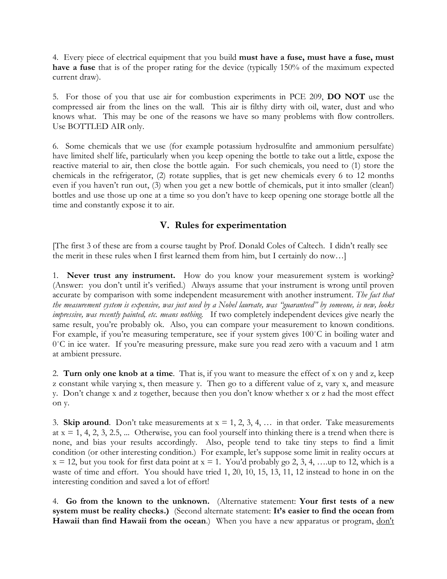4. Every piece of electrical equipment that you build **must have a fuse, must have a fuse, must have a fuse** that is of the proper rating for the device (typically 150% of the maximum expected current draw).

5. For those of you that use air for combustion experiments in PCE 209, **DO NOT** use the compressed air from the lines on the wall. This air is filthy dirty with oil, water, dust and who knows what. This may be one of the reasons we have so many problems with flow controllers. Use BOTTLED AIR only.

6. Some chemicals that we use (for example potassium hydrosulfite and ammonium persulfate) have limited shelf life, particularly when you keep opening the bottle to take out a little, expose the reactive material to air, then close the bottle again. For such chemicals, you need to (1) store the chemicals in the refrigerator, (2) rotate supplies, that is get new chemicals every 6 to 12 months even if you haven't run out, (3) when you get a new bottle of chemicals, put it into smaller (clean!) bottles and use those up one at a time so you don't have to keep opening one storage bottle all the time and constantly expose it to air.

### **V. Rules for experimentation**

[The first 3 of these are from a course taught by Prof. Donald Coles of Caltech. I didn't really see the merit in these rules when I first learned them from him, but I certainly do now…]

1. **Never trust any instrument.** How do you know your measurement system is working? (Answer: you don't until it's verified.) Always assume that your instrument is wrong until proven accurate by comparison with some independent measurement with another instrument. *The fact that the measurement system is expensive, was just used by a Nobel laureate, was "guaranteed" by someone, is new, looks impressive, was recently painted, etc. means nothing.* If two completely independent devices give nearly the same result, you're probably ok. Also, you can compare your measurement to known conditions. For example, if you're measuring temperature, see if your system gives 100˚C in boiling water and 0°C in ice water. If you're measuring pressure, make sure you read zero with a vacuum and 1 atm at ambient pressure.

2. **Turn only one knob at a time**. That is, if you want to measure the effect of x on y and z, keep z constant while varying x, then measure y. Then go to a different value of z, vary x, and measure y. Don't change x and z together, because then you don't know whether x or z had the most effect on y.

3. **Skip around**. Don't take measurements at  $x = 1, 2, 3, 4, \ldots$  in that order. Take measurements at  $x = 1, 4, 2, 3, 2.5, \dots$  Otherwise, you can fool yourself into thinking there is a trend when there is none, and bias your results accordingly. Also, people tend to take tiny steps to find a limit condition (or other interesting condition.) For example, let's suppose some limit in reality occurs at  $x = 12$ , but you took for first data point at  $x = 1$ . You'd probably go 2, 3, 4, ... up to 12, which is a waste of time and effort. You should have tried 1, 20, 10, 15, 13, 11, 12 instead to hone in on the interesting condition and saved a lot of effort!

4. **Go from the known to the unknown.** (Alternative statement: **Your first tests of a new system must be reality checks.)** (Second alternate statement: **It's easier to find the ocean from** Hawaii than find Hawaii from the ocean.) When you have a new apparatus or program, don't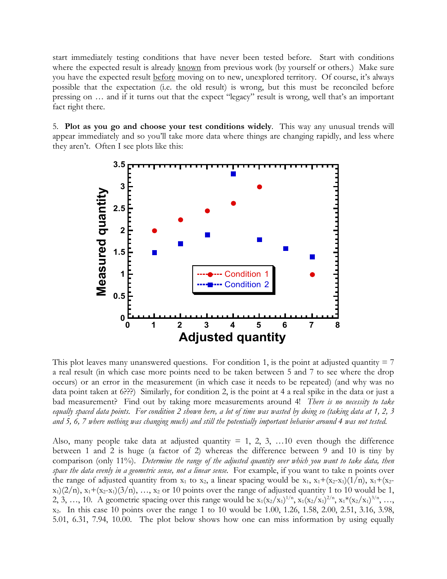start immediately testing conditions that have never been tested before. Start with conditions where the expected result is already known from previous work (by yourself or others.) Make sure you have the expected result before moving on to new, unexplored territory. Of course, it's always possible that the expectation (i.e. the old result) is wrong, but this must be reconciled before pressing on … and if it turns out that the expect "legacy" result is wrong, well that's an important fact right there.

5. **Plot as you go and choose your test conditions widely**. This way any unusual trends will appear immediately and so you'll take more data where things are changing rapidly, and less where they aren't. Often I see plots like this:



This plot leaves many unanswered questions. For condition 1, is the point at adjusted quantity  $= 7$ a real result (in which case more points need to be taken between 5 and 7 to see where the drop occurs) or an error in the measurement (in which case it needs to be repeated) (and why was no data point taken at 6???) Similarly, for condition 2, is the point at 4 a real spike in the data or just a bad measurement? Find out by taking more measurements around 4! *There is no necessity to take equally spaced data points. For condition 2 shown here, a lot of time was wasted by doing so (taking data at 1, 2, 3 and 5, 6, 7 where nothing was changing much) and still the potentially important behavior around 4 was not tested.*

Also, many people take data at adjusted quantity  $= 1, 2, 3, \ldots$  10 even though the difference between 1 and 2 is huge (a factor of 2) whereas the difference between 9 and 10 is tiny by comparison (only 11%). *Determine the range of the adjusted quantity over which you want to take data, then space the data evenly in a geometric sense, not a linear sense.* For example, if you want to take n points over the range of adjusted quantity from  $x_1$  to  $x_2$ , a linear spacing would be  $x_1$ ,  $x_1+(x_2-x_1)(1/n)$ ,  $x_1+(x_2-x_1)(1/n)$  $x_1(2/n)$ ,  $x_1+(x_2-x_1)(3/n)$ , ...,  $x_2$  or 10 points over the range of adjusted quantity 1 to 10 would be 1, 2, 3, …, 10. A geometric spacing over this range would be  $x_1(x_2/x_1)^{1/n}$ ,  $x_1(x_2/x_1)^{2/n}$ ,  $x_1*(x_2/x_1)^{3/n}$ , …, x2. In this case 10 points over the range 1 to 10 would be 1.00, 1.26, 1.58, 2.00, 2.51, 3.16, 3.98, 5.01, 6.31, 7.94, 10.00. The plot below shows how one can miss information by using equally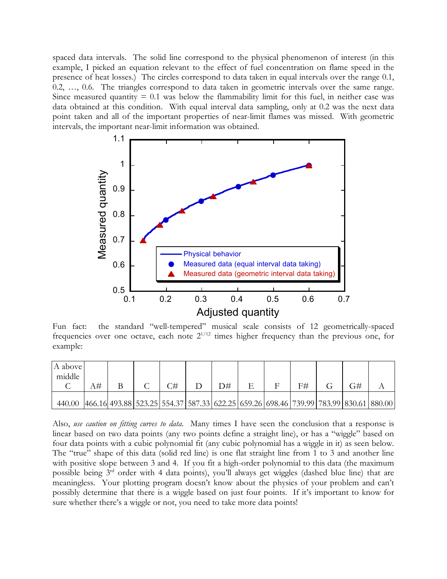spaced data intervals. The solid line correspond to the physical phenomenon of interest (in this example, I picked an equation relevant to the effect of fuel concentration on flame speed in the presence of heat losses.) The circles correspond to data taken in equal intervals over the range 0.1, 0.2, …, 0.6. The triangles correspond to data taken in geometric intervals over the same range. Since measured quantity  $= 0.1$  was below the flammability limit for this fuel, in neither case was data obtained at this condition. With equal interval data sampling, only at 0.2 was the next data point taken and all of the important properties of near-limit flames was missed. With geometric intervals, the important near-limit information was obtained.



Fun fact: the standard "well-tempered" musical scale consists of 12 geometrically-spaced frequencies over one octave, each note  $2^{1/12}$  times higher frequency than the previous one, for example:

| A above<br>middle |    |                                                                                                          |    |     |  |    |  |  |
|-------------------|----|----------------------------------------------------------------------------------------------------------|----|-----|--|----|--|--|
|                   | 4⊭ |                                                                                                          | ਿ# | D#- |  | F# |  |  |
| 440.00            |    | 466.16  493.88   523.25   554.37   587.33   622.25   659.26   698.46   739.99   783.99   830.61   880.00 |    |     |  |    |  |  |

Also, *use caution on fitting curves to data*. Many times I have seen the conclusion that a response is linear based on two data points (any two points define a straight line), or has a "wiggle" based on four data points with a cubic polynomial fit (any cubic polynomial has a wiggle in it) as seen below. The "true" shape of this data (solid red line) is one flat straight line from 1 to 3 and another line with positive slope between 3 and 4. If you fit a high-order polynomial to this data (the maximum possible being 3rd order with 4 data points), you'll always get wiggles (dashed blue line) that are meaningless. Your plotting program doesn't know about the physics of your problem and can't possibly determine that there is a wiggle based on just four points. If it's important to know for sure whether there's a wiggle or not, you need to take more data points!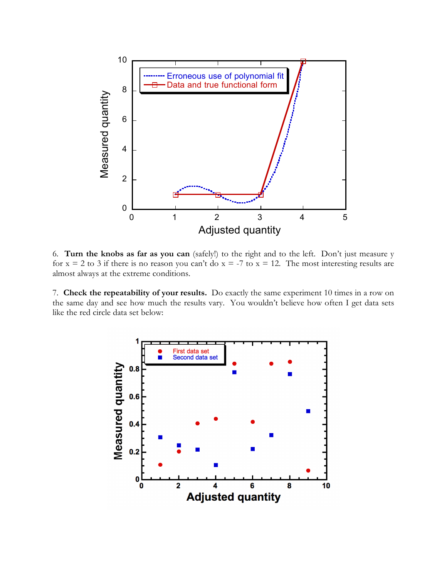

6. **Turn the knobs as far as you can** (safely!) to the right and to the left. Don't just measure y for  $x = 2$  to 3 if there is no reason you can't do  $x = -7$  to  $x = 12$ . The most interesting results are almost always at the extreme conditions.

7. **Check the repeatability of your results.** Do exactly the same experiment 10 times in a row on the same day and see how much the results vary. You wouldn't believe how often I get data sets like the red circle data set below:

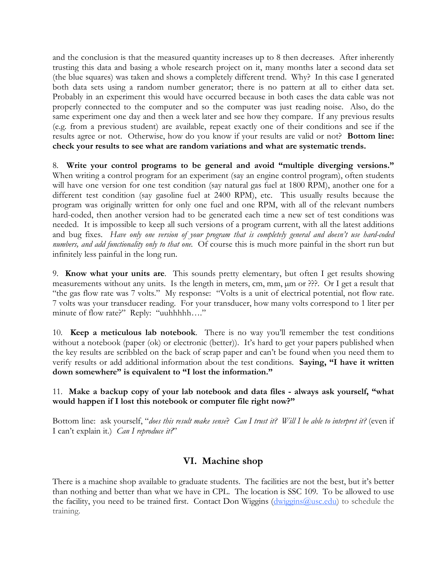and the conclusion is that the measured quantity increases up to 8 then decreases. After inherently trusting this data and basing a whole research project on it, many months later a second data set (the blue squares) was taken and shows a completely different trend. Why? In this case I generated both data sets using a random number generator; there is no pattern at all to either data set. Probably in an experiment this would have occurred because in both cases the data cable was not properly connected to the computer and so the computer was just reading noise. Also, do the same experiment one day and then a week later and see how they compare. If any previous results (e.g. from a previous student) are available, repeat exactly one of their conditions and see if the results agree or not. Otherwise, how do you know if your results are valid or not? **Bottom line: check your results to see what are random variations and what are systematic trends.**

8. **Write your control programs to be general and avoid "multiple diverging versions."** When writing a control program for an experiment (say an engine control program), often students will have one version for one test condition (say natural gas fuel at 1800 RPM), another one for a different test condition (say gasoline fuel at 2400 RPM), etc. This usually results because the program was originally written for only one fuel and one RPM, with all of the relevant numbers hard-coded, then another version had to be generated each time a new set of test conditions was needed. It is impossible to keep all such versions of a program current, with all the latest additions and bug fixes. *Have only one version of your program that is completely general and doesn't use hard-coded numbers, and add functionality only to that one.* Of course this is much more painful in the short run but infinitely less painful in the long run.

9. **Know what your units are**. This sounds pretty elementary, but often I get results showing measurements without any units. Is the length in meters, cm, mm, µm or ???. Or I get a result that "the gas flow rate was 7 volts." My response: "Volts is a unit of electrical potential, not flow rate. 7 volts was your transducer reading. For your transducer, how many volts correspond to 1 liter per minute of flow rate?" Reply: "uuhhhhh…."

10. **Keep a meticulous lab notebook**. There is no way you'll remember the test conditions without a notebook (paper (ok) or electronic (better)). It's hard to get your papers published when the key results are scribbled on the back of scrap paper and can't be found when you need them to verify results or add additional information about the test conditions. **Saying, "I have it written down somewhere" is equivalent to "I lost the information."**

### 11. **Make a backup copy of your lab notebook and data files - always ask yourself, "what would happen if I lost this notebook or computer file right now?"**

Bottom line: ask yourself, "*does this result make sense*? *Can I trust it? Will I be able to interpret it?* (even if I can't explain it.) *Can I reproduce it?*"

# **VI. Machine shop**

There is a machine shop available to graduate students. The facilities are not the best, but it's better than nothing and better than what we have in CPL. The location is SSC 109. To be allowed to use the facility, you need to be trained first. Contact Don Wiggins (dwiggins @usc.edu) to schedule the training.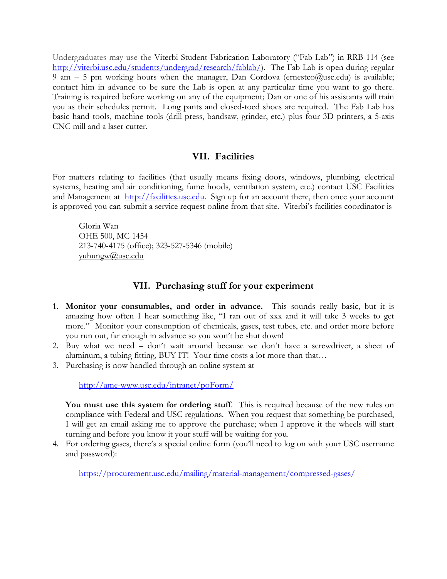Undergraduates may use the Viterbi Student Fabrication Laboratory ("Fab Lab") in RRB 114 (see http://viterbi.usc.edu/students/undergrad/research/fablab/). The Fab Lab is open during regular 9 am – 5 pm working hours when the manager, Dan Cordova (ernestco@usc.edu) is available; contact him in advance to be sure the Lab is open at any particular time you want to go there. Training is required before working on any of the equipment; Dan or one of his assistants will train you as their schedules permit. Long pants and closed-toed shoes are required. The Fab Lab has basic hand tools, machine tools (drill press, bandsaw, grinder, etc.) plus four 3D printers, a 5-axis CNC mill and a laser cutter.

### **VII. Facilities**

For matters relating to facilities (that usually means fixing doors, windows, plumbing, electrical systems, heating and air conditioning, fume hoods, ventilation system, etc.) contact USC Facilities and Management at http://facilities.usc.edu. Sign up for an account there, then once your account is approved you can submit a service request online from that site. Viterbi's facilities coordinator is

Gloria Wan OHE 500, MC 1454 213-740-4175 (office); 323-527-5346 (mobile) yuhungw@usc.edu

### **VII. Purchasing stuff for your experiment**

- 1. **Monitor your consumables, and order in advance.** This sounds really basic, but it is amazing how often I hear something like, "I ran out of xxx and it will take 3 weeks to get more." Monitor your consumption of chemicals, gases, test tubes, etc. and order more before you run out, far enough in advance so you won't be shut down!
- 2. Buy what we need don't wait around because we don't have a screwdriver, a sheet of aluminum, a tubing fitting, BUY IT! Your time costs a lot more than that…
- 3. Purchasing is now handled through an online system at

http://ame-www.usc.edu/intranet/poForm/

**You must use this system for ordering stuff**. This is required because of the new rules on compliance with Federal and USC regulations. When you request that something be purchased, I will get an email asking me to approve the purchase; when I approve it the wheels will start turning and before you know it your stuff will be waiting for you.

4. For ordering gases, there's a special online form (you'll need to log on with your USC username and password):

https://procurement.usc.edu/mailing/material-management/compressed-gases/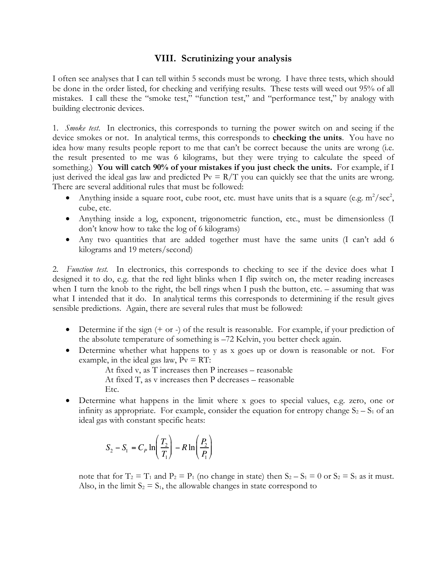### **VIII. Scrutinizing your analysis**

I often see analyses that I can tell within 5 seconds must be wrong. I have three tests, which should be done in the order listed, for checking and verifying results. These tests will weed out 95% of all mistakes. I call these the "smoke test," "function test," and "performance test," by analogy with building electronic devices.

1. *Smoke test*. In electronics, this corresponds to turning the power switch on and seeing if the device smokes or not. In analytical terms, this corresponds to **checking the units**. You have no idea how many results people report to me that can't be correct because the units are wrong (i.e. the result presented to me was 6 kilograms, but they were trying to calculate the speed of something.) **You will catch 90% of your mistakes if you just check the units.** For example, if I just derived the ideal gas law and predicted  $Pv = R/T$  you can quickly see that the units are wrong. There are several additional rules that must be followed:

- Anything inside a square root, cube root, etc. must have units that is a square (e.g.  $m^2/sec^2$ , cube, etc.
- Anything inside a log, exponent, trigonometric function, etc., must be dimensionless (I don't know how to take the log of 6 kilograms)
- Any two quantities that are added together must have the same units (I can't add 6 kilograms and 19 meters/second)

2. *Function test.* In electronics, this corresponds to checking to see if the device does what I designed it to do, e.g. that the red light blinks when I flip switch on, the meter reading increases when I turn the knob to the right, the bell rings when I push the button, etc. – assuming that was what I intended that it do. In analytical terms this corresponds to determining if the result gives sensible predictions. Again, there are several rules that must be followed:

- Determine if the sign  $(+ or -)$  of the result is reasonable. For example, if your prediction of the absolute temperature of something is –72 Kelvin, you better check again.
- Determine whether what happens to y as x goes up or down is reasonable or not. For example, in the ideal gas law,  $P_v = RT$ :

At fixed v, as T increases then P increases – reasonable At fixed T, as v increases then P decreases – reasonable

- Etc.
- Determine what happens in the limit where x goes to special values, e.g. zero, one or infinity as appropriate. For example, consider the equation for entropy change  $S_2 - S_1$  of an ideal gas with constant specific heats:

$$
S_2 - S_1 = C_P \ln\left(\frac{T_2}{T_1}\right) - R \ln\left(\frac{P_2}{P_1}\right)
$$

note that for  $T_2 = T_1$  and  $P_2 = P_1$  (no change in state) then  $S_2 - S_1 = 0$  or  $S_2 = S_1$  as it must. Also, in the limit  $S_2 = S_1$ , the allowable changes in state correspond to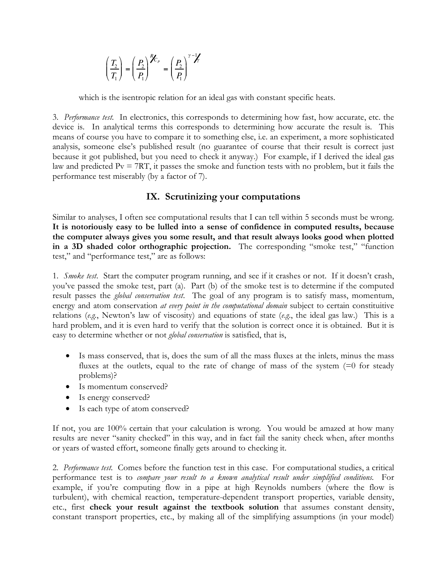$$
\left(\frac{T_2}{T_1}\right) = \left(\frac{P_2}{P_1}\right)^{\frac{p}{\ell}} = \left(\frac{P_2}{P_1}\right)^{\gamma - \frac{p}{\ell}}
$$

which is the isentropic relation for an ideal gas with constant specific heats.

3. *Performance test.* In electronics, this corresponds to determining how fast, how accurate, etc. the device is. In analytical terms this corresponds to determining how accurate the result is. This means of course you have to compare it to something else, i.e. an experiment, a more sophisticated analysis, someone else's published result (no guarantee of course that their result is correct just because it got published, but you need to check it anyway.) For example, if I derived the ideal gas law and predicted  $Pv = 7RT$ , it passes the smoke and function tests with no problem, but it fails the performance test miserably (by a factor of 7).

# **IX. Scrutinizing your computations**

Similar to analyses, I often see computational results that I can tell within 5 seconds must be wrong. **It is notoriously easy to be lulled into a sense of confidence in computed results, because the computer always gives you some result, and that result always looks good when plotted in a 3D shaded color orthographic projection.** The corresponding "smoke test," "function test," and "performance test," are as follows:

1. *Smoke test*. Start the computer program running, and see if it crashes or not. If it doesn't crash, you've passed the smoke test, part (a). Part (b) of the smoke test is to determine if the computed result passes the *global conservation test*. The goal of any program is to satisfy mass, momentum, energy and atom conservation *at every point in the computational domain* subject to certain constituitive relations (*e.g.*, Newton's law of viscosity) and equations of state (*e.g*., the ideal gas law.) This is a hard problem, and it is even hard to verify that the solution is correct once it is obtained. But it is easy to determine whether or not *global conservation* is satisfied, that is,

- Is mass conserved, that is, does the sum of all the mass fluxes at the inlets, minus the mass fluxes at the outlets, equal to the rate of change of mass of the system  $(=0)$  for steady problems)?
- Is momentum conserved?
- Is energy conserved?
- Is each type of atom conserved?

If not, you are 100% certain that your calculation is wrong. You would be amazed at how many results are never "sanity checked" in this way, and in fact fail the sanity check when, after months or years of wasted effort, someone finally gets around to checking it.

2. *Performance test.* Comes before the function test in this case. For computational studies, a critical performance test is to *compare your result to a known analytical result under simplified conditions*. For example, if you're computing flow in a pipe at high Reynolds numbers (where the flow is turbulent), with chemical reaction, temperature-dependent transport properties, variable density, etc., first **check your result against the textbook solution** that assumes constant density, constant transport properties, etc., by making all of the simplifying assumptions (in your model)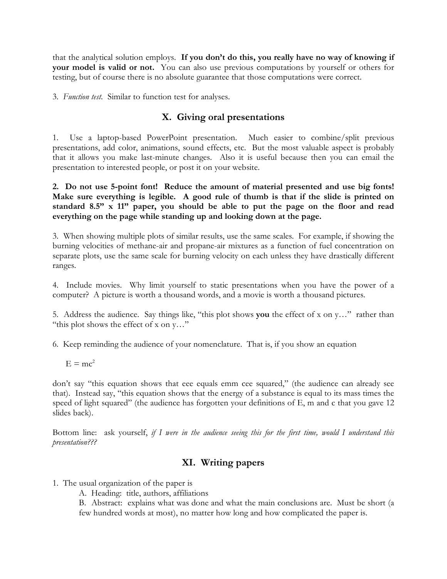that the analytical solution employs. **If you don't do this, you really have no way of knowing if your model is valid or not.** You can also use previous computations by yourself or others for testing, but of course there is no absolute guarantee that those computations were correct.

3. *Function test.* Similar to function test for analyses.

# **X. Giving oral presentations**

1. Use a laptop-based PowerPoint presentation. Much easier to combine/split previous presentations, add color, animations, sound effects, etc. But the most valuable aspect is probably that it allows you make last-minute changes. Also it is useful because then you can email the presentation to interested people, or post it on your website.

**2. Do not use 5-point font! Reduce the amount of material presented and use big fonts! Make sure everything is legible. A good rule of thumb is that if the slide is printed on standard 8.5" x 11" paper, you should be able to put the page on the floor and read everything on the page while standing up and looking down at the page.**

3. When showing multiple plots of similar results, use the same scales. For example, if showing the burning velocities of methane-air and propane-air mixtures as a function of fuel concentration on separate plots, use the same scale for burning velocity on each unless they have drastically different ranges.

4. Include movies. Why limit yourself to static presentations when you have the power of a computer? A picture is worth a thousand words, and a movie is worth a thousand pictures.

5. Address the audience. Say things like, "this plot shows **you** the effect of x on y…" rather than "this plot shows the effect of x on y…"

6. Keep reminding the audience of your nomenclature. That is, if you show an equation

 $E = mc^2$ 

don't say "this equation shows that eee equals emm cee squared," (the audience can already see that). Instead say, "this equation shows that the energy of a substance is equal to its mass times the speed of light squared" (the audience has forgotten your definitions of E, m and c that you gave 12 slides back).

Bottom line: ask yourself, *if I were in the audience seeing this for the first time, would I understand this presentation???*

# **XI. Writing papers**

- 1. The usual organization of the paper is
	- A. Heading: title, authors, affiliations

B. Abstract: explains what was done and what the main conclusions are. Must be short (a few hundred words at most), no matter how long and how complicated the paper is.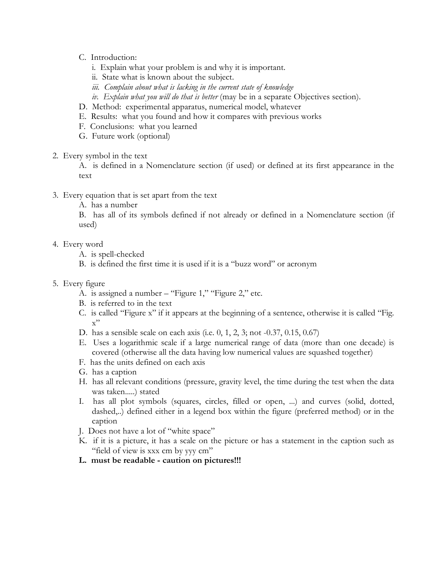- C. Introduction:
	- i. Explain what your problem is and why it is important.
	- ii. State what is known about the subject.
	- *iii. Complain about what is lacking in the current state of knowledge*
	- *iv. Explain what you will do that is better* (may be in a separate Objectives section).
- D. Method: experimental apparatus, numerical model, whatever
- E. Results: what you found and how it compares with previous works
- F. Conclusions: what you learned
- G. Future work (optional)
- 2. Every symbol in the text

A. is defined in a Nomenclature section (if used) or defined at its first appearance in the text

- 3. Every equation that is set apart from the text
	- A. has a number

B. has all of its symbols defined if not already or defined in a Nomenclature section (if used)

- 4. Every word
	- A. is spell-checked
	- B. is defined the first time it is used if it is a "buzz word" or acronym
- 5. Every figure
	- A. is assigned a number "Figure 1," "Figure 2," etc.
	- B. is referred to in the text
	- C. is called "Figure x" if it appears at the beginning of a sentence, otherwise it is called "Fig.  $x"$
	- D. has a sensible scale on each axis (i.e. 0, 1, 2, 3; not -0.37, 0.15, 0.67)
	- E. Uses a logarithmic scale if a large numerical range of data (more than one decade) is covered (otherwise all the data having low numerical values are squashed together)
	- F. has the units defined on each axis
	- G. has a caption
	- H. has all relevant conditions (pressure, gravity level, the time during the test when the data was taken.....) stated
	- I. has all plot symbols (squares, circles, filled or open, ...) and curves (solid, dotted, dashed,..) defined either in a legend box within the figure (preferred method) or in the caption
	- J. Does not have a lot of "white space"
	- K. if it is a picture, it has a scale on the picture or has a statement in the caption such as "field of view is xxx cm by yyy cm"
	- **L. must be readable - caution on pictures!!!**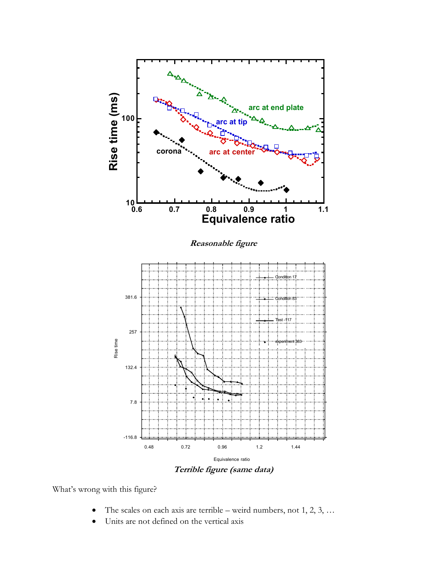

**Terrible figure (same data)**

What's wrong with this figure?

- The scales on each axis are terrible weird numbers, not  $1, 2, 3, \ldots$
- Units are not defined on the vertical axis